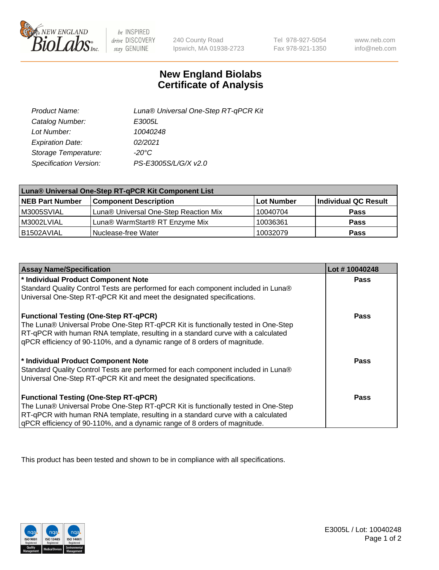

 $be$  INSPIRED drive DISCOVERY stay GENUINE

240 County Road Ipswich, MA 01938-2723

Tel 978-927-5054 Fax 978-921-1350

www.neb.com info@neb.com

## **New England Biolabs Certificate of Analysis**

| Product Name:           | Luna® Universal One-Step RT-qPCR Kit |
|-------------------------|--------------------------------------|
| Catalog Number:         | E3005L                               |
| Lot Number:             | 10040248                             |
| <b>Expiration Date:</b> | 02/2021                              |
| Storage Temperature:    | $-20^{\circ}$ C                      |
| Specification Version:  | PS-E3005S/L/G/X v2.0                 |

| Luna® Universal One-Step RT-qPCR Kit Component List |                                       |            |                      |  |
|-----------------------------------------------------|---------------------------------------|------------|----------------------|--|
| <b>NEB Part Number</b>                              | <b>Component Description</b>          | Lot Number | Individual QC Result |  |
| M3005SVIAL                                          | Luna® Universal One-Step Reaction Mix | 10040704   | <b>Pass</b>          |  |
| M3002LVIAL                                          | Luna® WarmStart® RT Enzyme Mix        | 10036361   | <b>Pass</b>          |  |
| B <sub>1502</sub> AVIAL                             | Nuclease-free Water                   | 10032079   | <b>Pass</b>          |  |

| <b>Assay Name/Specification</b>                                                   | Lot #10040248 |
|-----------------------------------------------------------------------------------|---------------|
| * Individual Product Component Note                                               | <b>Pass</b>   |
| Standard Quality Control Tests are performed for each component included in Luna® |               |
| Universal One-Step RT-qPCR Kit and meet the designated specifications.            |               |
| <b>Functional Testing (One-Step RT-qPCR)</b>                                      | Pass          |
| The Luna® Universal Probe One-Step RT-qPCR Kit is functionally tested in One-Step |               |
| RT-qPCR with human RNA template, resulting in a standard curve with a calculated  |               |
| gPCR efficiency of 90-110%, and a dynamic range of 8 orders of magnitude.         |               |
| * Individual Product Component Note                                               | Pass          |
| Standard Quality Control Tests are performed for each component included in Luna® |               |
| Universal One-Step RT-qPCR Kit and meet the designated specifications.            |               |
| <b>Functional Testing (One-Step RT-qPCR)</b>                                      | <b>Pass</b>   |
| The Luna® Universal Probe One-Step RT-qPCR Kit is functionally tested in One-Step |               |
| RT-qPCR with human RNA template, resulting in a standard curve with a calculated  |               |
| gPCR efficiency of 90-110%, and a dynamic range of 8 orders of magnitude.         |               |

This product has been tested and shown to be in compliance with all specifications.